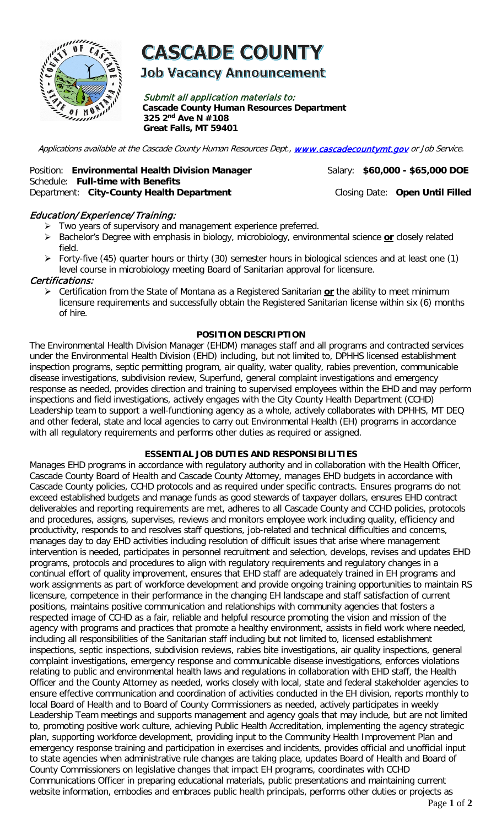

# **CASCADE COUNTY**

**Job Vacancy Announcement** 

Submit all application materials to: **Cascade County Human Resources Department 325 2nd Ave N #108 Great Falls, MT 59401** 

Applications available at the Cascade County Human Resources Dept., [www.cascadecountymt.gov](http://www.cascadecountymt.gov/) or Job Service.

#### Position: **Environmental Health Division Manager** Salary: \$60,000 - \$65,000 DOE Schedule: **Full-time with Benefits**  Department: **City-County Health Department** Closing Date: **Open Until Filled**

# Education/ Experience/ Training:

- Two years of supervisory and management experience preferred.
- Bachelor's Degree with emphasis in biology, microbiology, environmental science **or** closely related field.
- Forty-five (45) quarter hours or thirty (30) semester hours in biological sciences and at least one (1) level course in microbiology meeting Board of Sanitarian approval for licensure.

# Certifications:

 Certification from the State of Montana as a Registered Sanitarian **or** the ability to meet minimum licensure requirements and successfully obtain the Registered Sanitarian license within six (6) months of hire.

#### **POSITION DESCRIPTION**

The Environmental Health Division Manager (EHDM) manages staff and all programs and contracted services under the Environmental Health Division (EHD) including, but not limited to, DPHHS licensed establishment inspection programs, septic permitting program, air quality, water quality, rabies prevention, communicable disease investigations, subdivision review, Superfund, general complaint investigations and emergency response as needed, provides direction and training to supervised employees within the EHD and may perform inspections and field investigations, actively engages with the City County Health Department (CCHD) Leadership team to support a well-functioning agency as a whole, actively collaborates with DPHHS, MT DEQ and other federal, state and local agencies to carry out Environmental Health (EH) programs in accordance with all regulatory requirements and performs other duties as required or assigned.

# **ESSENTIAL JOB DUTIES AND RESPONSIBILITIES**

Manages EHD programs in accordance with regulatory authority and in collaboration with the Health Officer, Cascade County Board of Health and Cascade County Attorney, manages EHD budgets in accordance with Cascade County policies, CCHD protocols and as required under specific contracts. Ensures programs do not exceed established budgets and manage funds as good stewards of taxpayer dollars, ensures EHD contract deliverables and reporting requirements are met, adheres to all Cascade County and CCHD policies, protocols and procedures, assigns, supervises, reviews and monitors employee work including quality, efficiency and productivity, responds to and resolves staff questions, job-related and technical difficulties and concerns, manages day to day EHD activities including resolution of difficult issues that arise where management intervention is needed, participates in personnel recruitment and selection, develops, revises and updates EHD programs, protocols and procedures to align with regulatory requirements and regulatory changes in a continual effort of quality improvement, ensures that EHD staff are adequately trained in EH programs and work assignments as part of workforce development and provide ongoing training opportunities to maintain RS licensure, competence in their performance in the changing EH landscape and staff satisfaction of current positions, maintains positive communication and relationships with community agencies that fosters a respected image of CCHD as a fair, reliable and helpful resource promoting the vision and mission of the agency with programs and practices that promote a healthy environment, assists in field work where needed, including all responsibilities of the Sanitarian staff including but not limited to, licensed establishment inspections, septic inspections, subdivision reviews, rabies bite investigations, air quality inspections, general complaint investigations, emergency response and communicable disease investigations, enforces violations relating to public and environmental health laws and regulations in collaboration with EHD staff, the Health Officer and the County Attorney as needed, works closely with local, state and federal stakeholder agencies to ensure effective communication and coordination of activities conducted in the EH division, reports monthly to local Board of Health and to Board of County Commissioners as needed, actively participates in weekly Leadership Team meetings and supports management and agency goals that may include, but are not limited to, promoting positive work culture, achieving Public Health Accreditation, implementing the agency strategic plan, supporting workforce development, providing input to the Community Health Improvement Plan and emergency response training and participation in exercises and incidents, provides official and unofficial input to state agencies when administrative rule changes are taking place, updates Board of Health and Board of County Commissioners on legislative changes that impact EH programs, coordinates with CCHD Communications Officer in preparing educational materials, public presentations and maintaining current website information, embodies and embraces public health principals, performs other duties or projects as